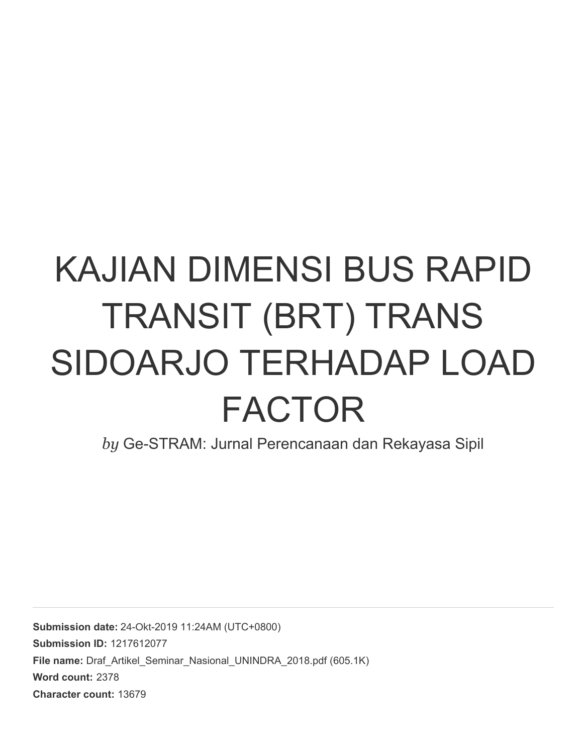# KAJIAN DIMENSI BUS RAPID TRANSIT (BRT) TRANS SIDOARJO TERHADAP LOAD FACTOR

*by* Ge-STRAM: Jurnal Perencanaan dan Rekayasa Sipil

**Submission date:** 24-Okt-2019 11:24AM (UTC+0800) **Submission ID:** 1217612077 File name: Draf Artikel Seminar Nasional UNINDRA 2018.pdf (605.1K) **Word count:** 2378 **Character count:** 13679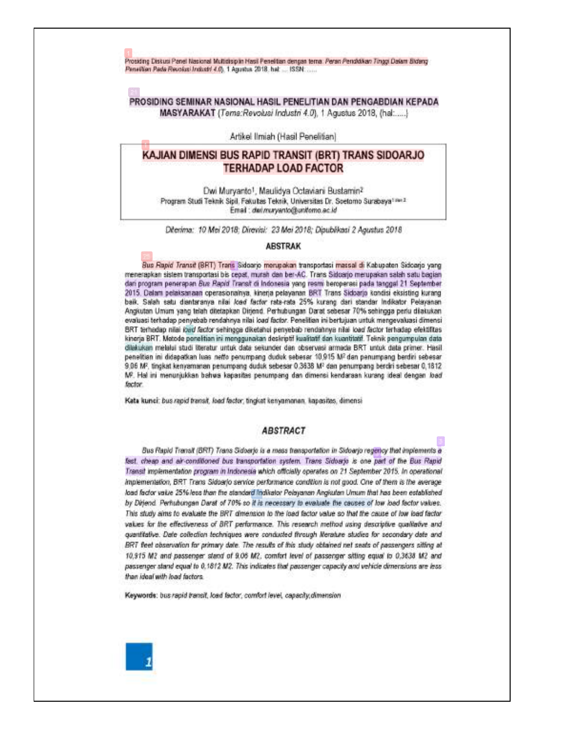Prosiding Diskusi Panel Nasional Multidisiplin Masil Penelitian dengan tema: Peran Pendidikan Tinggi Dalam Bidang Panallian Pada Reuolasi Industri 4.0). 1 Agustus 2018, hat .... ISSN ......

# PROSIDING SEMINAR NASIONAL HASIL PENELITIAN DAN PENGABDIAN KEPADA MASYARAKAT (Teme:Revolusi Industri 4.0), 1 Agustus 2018, (hal:.....)

#### Artikel Ilmiah (Hasil Penelitian)

# KAJIAN DIMENSI BUS RAPID TRANSIT (BRT) TRANS SIDOARJO **TERHADAP LOAD FACTOR**

Dwi Muryanto<sup>1</sup>, Maulidya Octaviani Bustamin<sup>2</sup> Program Studi Teknik Sipil. Fakultas Teknik, Universitas Dr. Soetomo Surabaya<sup>1 no. 2</sup> Email: dwi.muryanto@unitomo.ac.id

Diterima: 10 Mei 2018; Direvisi: 23 Mei 2018; Dipublikasi 2 Agustus 2018

#### **ABSTRAK**

Bus Rapid Transit (BRT) Trans Sidoarjo merupakan transportasi massal di Kabupaten Sidoarjo yang menerapkan sistem transportasi bis cepat, murah dan ber-AC. Trans Sidoarjo merupakan salah satu bagian dari program penerapan Bus Rapid Transit di Indonesia yang resmi beroperasi pada tanggal 21 September 2015. Dalam pelaksanaan operasionalnya, kinerja pelayanan BRT Trans Sidoarjo kondisi eksisting kurang baik. Salah satu diantaranya nilai load factor rata-rata 25% kurang dari standar Indikator Pelayanan Angkutan Umam yang telah ditetapkan Dirjend. Perhubungan Darat sebesar 70% sehingga perlu dilakukan evaluasi terhadap penyebab rendahnya nilai load factor. Penelitian ini bertujuan untuk mengevaluasi dimensi BRT terhadap nilai ibad factor sehingga diketahui penyebab rendahnya nilai load factor terhadap efektifitas kinerja BRT. Metode penelitian ini menggunakan deskriptif kualitatif dan kuantitatif. Teknik pengumpulan data dilakukan melalui studi literatur untuk data sekunder dan observasi armada BRT untuk data primer. Hasil penelitian ini didapatkan luas netto penumpang duduk sebesar 10,915 M2 dan penumpang berdiri sebesar 9,06 M<sup>2</sup>, tingkat kenyamanan penumpang duduk sebesar 0,3638 M<sup>2</sup> dan penumpang berdiri sebesar 0,1812 MP. Hal ini menunjukkan bahwa kapasitas penumpang dan dimensi kendaraan kurang ideal dengan load factor.

Kata kunci: bus rapid transit, load factor, tingkat kenyamanan. kapasitas, dimensi

## **ABSTRACT**

Bus Rapid Transit (BRT) Trans Sidoerjo is a mass transportation in Sidoarjo regency that implements a fest, cheap and air-conditioned bus transportation system. Trans Sidoarjo is one part of the Bus Rapid Transit implementation program in Indonesia which officially operates on 21 September 2015. In operational implementation, BRT Trans Sidoarjo service performance condition is not good. One of them is the average load factor value 25% less than the standard Indikator Pelayanan Angkutan Umum that has been established by Dirjend. Perhubungan Darat of 70% so it is necessary to evaluate the causes of low load factor values. This study aims to evaluate the BRT dimension to the load factor value so that the cause of low load factor values for the effectiveness of BRT performance. This research method using descriptive qualitative and quantitative. Date collection techniques were conducted fivough Merature studies for secondary date and BRT feet abservation for primary date. The results of fris study obtained net seats of passengers sitting at 10,915 M2 and passenger stand of 9.06 M2, comfort level of passenger sitting equal to 0,3638 M2 and passenger stand equal to 0,1812 M2. This indicates that passenger capacity and vehicle dimensions are less than ideal with load factors.

Keywords: bus rapid transit, load factor, comfort level, capacity, dimension

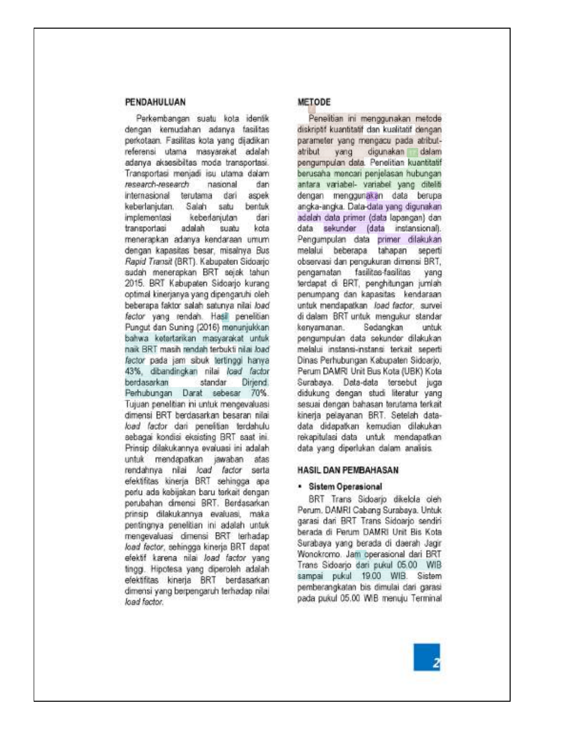# PENDAHULUAN

Perkembangan suatu kota identik dengan kemudahan adanya fasilitas perkotaan. Fasilitas kota yang dijadikan referensi utama masyarakat adalah adanya aksesibiltas moda transportasi. Transportasi menjadi isu utama dalam research-research nasional rian. internasional terutama dari aspek keberlanjutan, Salah satu bentuk keberlanjutan dari implementasi transportasi adalah suatu kota menerapkan adanya kendaraan umum dengan kapasitas besar, misalnya Bus Rapid Transit (BRT). Kabupaten Sidoarjo sudah menerapkan BRT sejak tahun 2015. BRT Kabupaten Sidoarjo kurang optimal kinerjanya yang dipengaruhi oleh beberapa faktor salah satunya nilai load factor yang rendah. Hasil penelitian Pungut dan Suning (2016) menunjukkan bahwa ketertarikan masyarakat untuk naik BRT masih rendah terbukti nilai load factor pada jam sibuk tertinggi hanya 43%, dibandingkan nilai load factor standar berdasarkan Dirjend. Perhubungan Darat sebesar 70%. Tujuan penelitian ini untuk mengevaluasi dimensi BRT berdasarkan besaran nilai load factor dari penelitian terdahulu sebagai kondisi eksisting BRT saat ini. Prinsip dilakukannya evaluasi ini adalah untuk mendapatkan jawaban atas rendahnya nilai load factor serta efektifitas kinerja BRT sehingga apa perlu ada kabijakan baru terkait dengan perubahan dimensi BRT. Berdasarkan prinsip dilakukannya evaluasi, maka pentingnya penelitian ini adalah untuk mengevaluasi dimensi BRT terhadap load factor, sehingga kinerja BRT dapat efektif karena nilai load factor yang tingg. Hipotesa yang diperoleh adalah efektifitas kinerja BRT berdasarkan dimensi yang berpengaruh terhadap nilai load factor.

# METODE

Penelitian ini menggunakan metode diskriptif kuantitatif dan kualitatif dengan parameter yang mengacu pada atributatribut yang digunakan dalam pengumpulan data. Penelitian kuantitatif berusaha mencari penjelasan hubungan antara variabel- variabel yang ditello dengan menggunakan data berupa angka-angka. Data-data yang digunakan adalah data primer (data lapangan) dan data sekunder (data instansional). Pengumpulan data primer dilakukan melalui beberapa tahapan seperti observasi dan pengukuran dimensi BRT, pengamatan fasilitas-fasilitas yang terdapat di BRT, penghitungan jumlah penumpang dan kapasitas kendaraan untuk mendapatkan Joad factor, survei di dalam BRT untuk mengukur standar kenyamanan. Sedangkan untuk pengumpulan data sekunder dilakukan melalui instansi-instansi terkait seperti Dinas Perhubungan Kabupaten Sidoarjo, Perum DAMRI Unit Bus Kota (UBK) Kota Surabaya. Data-data tersebut juga didukung dengan studi literatur yang sesuai dengan bahasan terutama terkait kineria pelayanan BRT. Setelah datadata didapatkan kemudian dilakukan rekapitulasi data untuk mendapatkan data yang diperlukan dalam analisis.

#### HASIL DAN PEMBAHASAN

#### · Sistem Operasional

BRT Trans Sidoarjo dikelola oleh Perum, DAMRI Cabang Surabaya, Untuk garasi dari BRT Trans Sidoarjo sendiri berada di Perum DAMRI Unit Bis Kota Surabaya yang berada di daerah Jagir Wonokromo. Jam operasional dari BRT Trans Sidoarjo dari pukul 05.00 WIB sampai pukul 19.00 WIB. Sistem pemberangkatan bis dimulai dari garasi pada pukul 05.00 WIB menuju Terminal

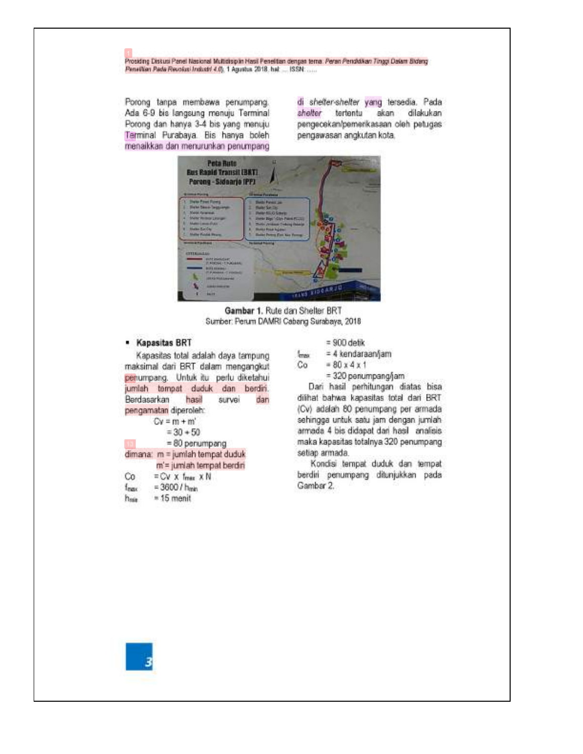#### Prosiding Diskusi Panel Nasional Multidisiplin Hasil Penelitian dengan tema. Peran Pengkikan Tinggi Dalam Bidang Penettian Pada Revolusi Industri 4.0), 1 Agustus 2018, hat ... ISSN ......

Porong tanpa membawa penumpang. Ada 6-9 bis langsung menuju Terminal Porong dan hanya 3-4 bis yang menuju Terminal Purabaya. Bis hanya boleh menaikkan dan menurunkan penumpang

di shelter-shelter yang tersedia. Pada shelter tertentu akan dilakukan pengecekan/pemerikasaan oleh petugas pengawasan angkutan kota.



Gambar 1. Rute dan Shelter BRT Sumber: Perum DAMRI Cabang Surabaya, 2018

### · Kapasitas BRT

Kapasitas total adalah daya tampung maksimal dari BRT dalam mengangkut penumpang. Untuk itu perlu diketahui jumlah tempat duduk dan berdiri. Berdasarkan hasil survei dan pengamatan diperoleh:  $Cy = m + m'$  $-20 + 50$ 

|    | 74 J. W. C.R.P                  |
|----|---------------------------------|
|    | $= 80$ perumpang                |
|    | dimana: m = jumlah tempat duduk |
|    | m'= jumlah tempat berdiri       |
| Сo | $=$ CV X Imax XN                |
|    | $= 3600 / h_{min}$              |
|    | $= 15$ menit                    |
|    |                                 |

$$
= 900 \text{ detik}
$$

= 4 kendaraan/jam max.  $= 80 x 4 x 1$ Co

= 320 penumpang/jam

Dari hasil perhitungan diatas bisa dilihat bahwa kapasitas total dari BRT (Cv) adalah 80 penumpang per armada sehingga untuk satu jam dengan jumlah armada 4 bis didapat dari hasil analisis maka kapasitas totalnya 320 penumpang setiap armada.

Kondisi tempat duduk dan tempat berdiri penumpang ditunjukkan pada Gambar 2.

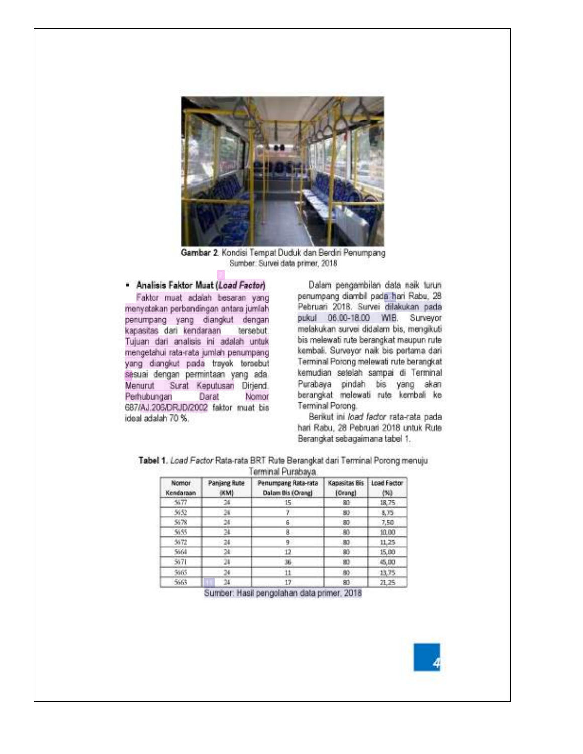

Gambar 2. Kondisi Tempat Duduk dan Berdiri Penumpang Sumber: Survei data primer, 2018.

# · Analisis Faktor Muat (Load Factor)

Faktor muat adalah besaran yang menyatakan perbandingan antara jumlah penumpang yang diangkut dengan kapasitas dari kendaraan tersebut. Tujuan dari analisis ini adalah untuk mengetahui rata-rata jumlah penumpang yang diangkut pada trayek tersebut sesuai dengan permintaan yang ada. Menurut Surat Keputusan Dirjend. Perhubungan Darat Nomor 687/AJ.206/DRJD/2002 faktor muat bis ideal adalah 70 %.

Dalam pengambilan data naik turun penumpang diambil pada hari Rabu, 28 Pebruari 2018. Survei dilakukan pada pukul 06.00-18.00 WIB. Surveyor melakukan survei didalam bis, mengikuti bis melewati rute berangkat maupun rute kembali. Surveyor naik bis pertama dari Terminal Porong melewati rute berangkat kemudian setelah sampai di Terminal Purabaya pindah bis yang akan berangkat melewati rute kembali ke Terminal Porong.

Berikut ini load factor rata-rata pada hari Rabu, 28 Pebruari 2018 untuk Rute Berangkat sebagaimana tabel 1.

Tabel 1. Load Factor Rata-rata BRT Rute Berangkat dari Terminal Porong menuju

Terminal Purahaya

| <b>Nomor</b><br>Kendaraan | <b>Panjang Rute</b><br>(KM) | Penumpang Rata-rata<br>Dalam Bis (Orang) | Kapasitas Bis Load Factor<br>(Orang) | (N)   |  |
|---------------------------|-----------------------------|------------------------------------------|--------------------------------------|-------|--|
| 5677                      | 24                          | 15                                       | BO:                                  | 1R.75 |  |
| 5652                      | 24                          |                                          | $-80$                                | 8.75  |  |
| 5678                      | 24.                         | 6                                        | 80                                   | 7,50  |  |
| 5655                      |                             | 8                                        | <b>BO</b>                            | 10.00 |  |
| 5672                      | 24:                         |                                          | $-80$                                | 11,25 |  |
| 5664                      | 74                          |                                          | 80                                   | 15.00 |  |
| 5671                      | 24                          | 36                                       | 80                                   | 45,00 |  |
| 5665                      |                             |                                          | 80                                   | 13.75 |  |
| 5663                      |                             |                                          | 80                                   | 21.25 |  |

Sumber: Hasil pengolahan data primer, 2018

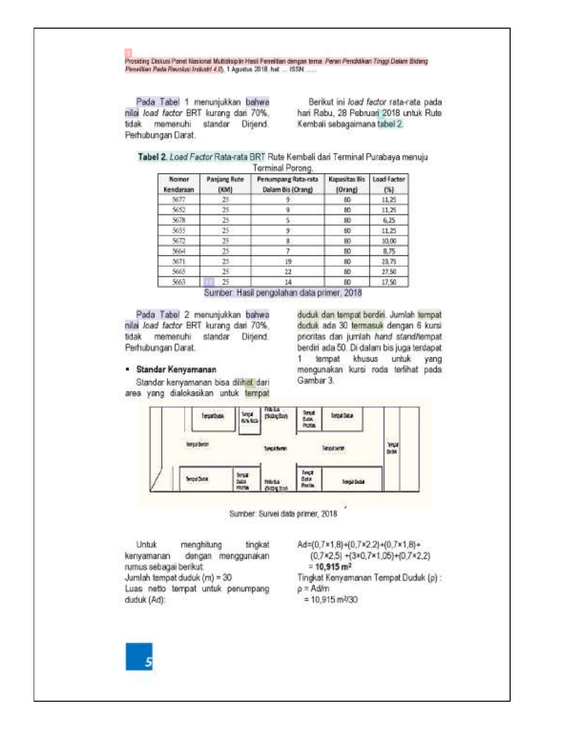Prosiding Diskusi Panel Nasional Multidisiplin Masil Penelitian dengan terna: Peran Pendidikan Tinggi Dalam Blidang Panellian Pada Revolusi Industri 4.0). 1 Agustus 2018, hat .... ISSN ......

Pada Tabel 1 menunjukkan bahwa nilai Joad factor BRT kurang dari 70%, tidak memenuhi standar Dirjend. Perhubungan Darat.

Berikut ini *load factor* rata-rata pada hari Rabu, 28 Pebruari 2018 untuk Rute Kembali sebagaimana tabel 2.

|  |  |  |                  | Tabel 2. <i>Load Factor</i> Rata-rata BRT Rute Kembali dan Terminal Purabaya menuju |  |
|--|--|--|------------------|-------------------------------------------------------------------------------------|--|
|  |  |  | Terminal Porong. |                                                                                     |  |

| Nomor<br>Kendaraan | Panjang Rute<br>(KM) | Penumpang Rata-rata<br>Dalam Bis (Orang) | <b>Kapasitas Bis</b><br>(Orang) | Load Factor<br>(%) |
|--------------------|----------------------|------------------------------------------|---------------------------------|--------------------|
| 5677               | $25 -$               |                                          | 80                              | 11.25              |
| 5652               | 25                   | 90                                       | 80                              | 11.25              |
| 5678               | 25                   |                                          | 80                              | 6.25               |
| 5655               | $25 -$               |                                          | 80                              | 11,25              |
| 5672               | $25^{\circ}$         |                                          | 80                              | 10.00              |
| 5664               | 15                   |                                          | 80                              | 8.75               |
| 5671               | $25 -$               | 19                                       | 80                              | 23,75              |
| 5665               | 95                   | $^{22}$                                  | 80                              | 27.50              |
| 5663               | $25^{\circ}$         | $-14$                                    | 80                              | 17.50              |

Sumber: Hasil pengolahan data primer, 2018

Pada Tabel 2 menunjukkan bahwa nilai Joad factor BRT kurang dari 70%, tidak memenuhi standar Dirjend. Perhubungan Darat.

#### · Standar Kenyamanan

Standar kenyamanan bisa dilihat dari area yang dialokasikan untuk tempat

duduk dan tempat berdiri. Jumlah tempat duduk ada 30 termasuk dengan 6 kursi prioritas dan jumlah hand stand/lempat berdiri ada 50. Di dalam bis juga terdapat tempat khusus untuk 1. yang mengunakan kursi roda terlihat pada Gambar 3.



Sumber: Survei data primer, 2018.

Untuk menghitung tingkat kenyamanan dengan menggunakan rumus sebagai berikut. Jumlah tempat duduk (m) = 30 Luas netto tempat untuk penumpang duduk (Ad):

Ad=(0,7×1,8)+(0,7×2,2)+(0,7×1,8)+  $(0.7 \times 2.5) + (3 \times 0.7 \times 1.05) + (0.7 \times 2.2)$  $= 10,915$  m<sup>2</sup> Tingkat Kenyamanan Tempat Duduk (p):  $\rho =$  Ad/m  $= 10,915 \text{ m}^2/30$ 

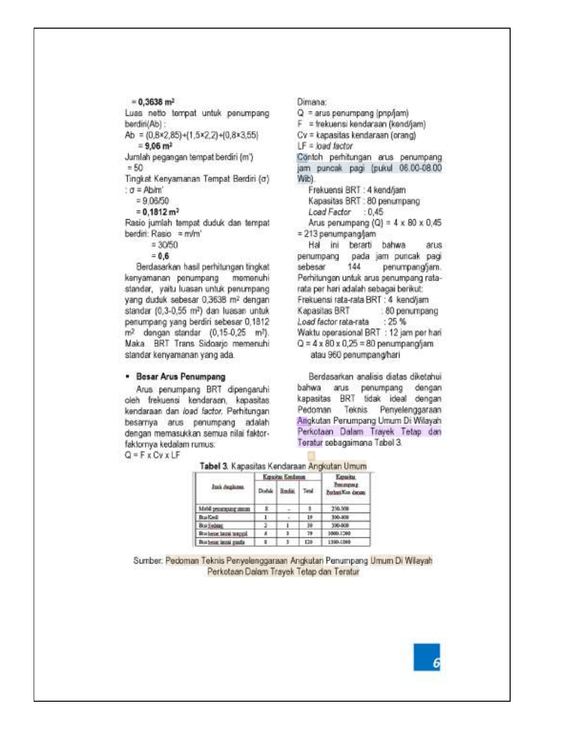Luas netto tempat untuk penumpang berdiri(Ab) : Ab =  $(0.8×2.85)+(1.5×2.2)+(0.8×3.55)$  $= 9.06$  m<sup>2</sup>

Jumlah pegangan tempat berdiri (m')  $= 50$ 

Tingkat Kenyamanan Tempat Berdiri (o) :  $\sigma$  = Ab/m'

 $= 9.06/50$ 

 $= 0.1812$  m<sup>2</sup>

Rasio jumlah tempat duduk dan tempat berdiri: Rasio = m/m'

 $= 3050$ 

 $= 0.6$ 

Berdasarkan hasil perhitungan tingkat kenyamanan penumpang memenuhi standar, yaitu luasan untuk penumpang yang duduk sebesar 0,3638 m2 dengan standar (0,3-0,55 m<sup>2</sup>) dan luasan untuk penumpang yang berdiri sebesar 0,1812 m<sup>2</sup> dengan standar (0,15-0,25 m<sup>2</sup>). Maka BRT Trans Sidoarjo memenuhi standar kenyamanan yang ada.

# · Besar Arus Penumpang

Arus penumpang BRT dipengaruhi oleh frekuensi kendaraan, kapasitas kendaraan dan load factor. Perhitungan besarnya arus penumpang adalah dengan memasukkan semua nilai faktorfaktornya kedalam rumus:

 $Q = F \times C \vee \times LF$ 

Dimana: Q = arus penumpang (pnp/jam) F = trekuensi kendaraan (kend/jam) Cv = kapasitas kendaraan (orang)  $LF = load factor$ Contoh perhitungan arus penumpang jam puncak pagi (pukul 06.00-08.00 Wib). Frekuensi BRT : 4 kend/jam Kapasitas BRT : 80 penumpang Load Factor : 0,45 Arus penumpang (Q) =  $4 \times 80 \times 0.45$  $= 213$  penumpang/jam Hal ini berarti bahwa arus penumpang pada jam puncak pagi 144 sebesar penumpang/jam. Perhitungan untuk arus penumpang ratarata per hari adalah sebagai berikut: Frekuensi rata-rata BRT : 4 kend/jam Kapasitas BRT : 80 penumpano Load factor rata-rata  $: 25%$ Waktu operasional BRT : 12 jam per hari  $Q = 4 \times 80 \times 0,25 = 80$  penumpang/jam atau 960 penumpang/hari

Berdasarkan analisis diatas diketahui bahwa arus penumpang dengan kapasitas BRT tidak ideal dengan Pedoman Teknis Penvelenggaraan Angkutan Penumpang Umum Di Wilayah Perkotaan Dalam Trayek Tetap dan Teratur sebagaimana Tabel 3.

|                           |       | Kapacitas Kondorum | Eguita |                               |  |
|---------------------------|-------|--------------------|--------|-------------------------------|--|
| Jusk Auglozen<br>-------- | Doble | <b>Bedie</b>       | Test.  | housipsup<br>Parken Kin docum |  |
| Mabil personaggioram      |       |                    |        | 250,308                       |  |
| Builded.                  |       |                    | 10     | 300-808                       |  |
| <b>Brat Sedang</b>        |       |                    | 38     | 500-508                       |  |
| Rockete laute teages)     |       |                    | 79     | 3000.1200                     |  |
| Boa beast latest ganda    |       |                    | 126    | $-1300.1300$                  |  |

Tabel 3 Kanacitas Kendaraan Andoitan Umum

Sumber: Pedoman Teknis Penyelenggaraan Angkutan Penumpang Umum Di Wilayah Perkotaan Dalam Trayek Tetap dan Teratur



 $= 0.3638$  m<sup>2</sup>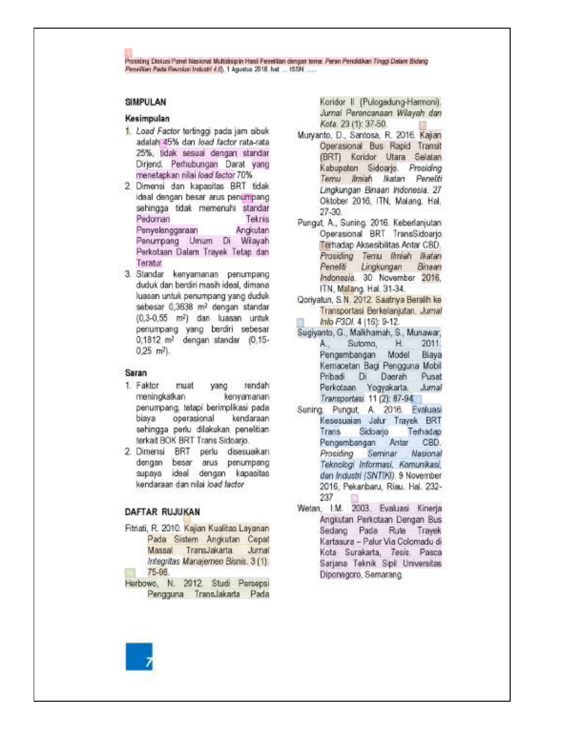Prosiding Diskusi Panel Nasional Multidisiplin Hasil Penelitian dengan terna: Peran Pendidikan Tinggi Dalam Blidang Panallian Pada Reuolasi Industri 4.0), 1 Agustus 2018. hat .... ISSN .....

# **SIMPULAN**

#### Kesimpulan

- 1. Load Factor tertinggi pada jam sibuk adalah 45% dan load factor rata-rata 25%, tidak sesuai dengan standar Dirjend. Perhubungan Darat yang menetapkan nilai load factor 70%
- 2. Dimensi dan kapasitas BRT tidak ideal dengan besar arus penumpang sehingga tidak memenuhi standar Pedoman Teknis Penyelenggaraan Angkutan Penumpang Umum Di Wilayah Perkotaan Dalam Trayek Tetap dan Teratur.
- 3. Standar kenyamanan penumpangduduk dan berdiri masih ideal, dimana luasan untuk penumpang yang duduk sebesar 0,3638 m<sup>2</sup> dengan standar (0,3-0,55 m<sup>2</sup>) dan luasan untuk penumpang yang berdiri sebesar 0,1812 m<sup>2</sup> dengan standar (0,15- $0.25$  m<sup>2</sup>).

#### Saran

- 1. Faktor muat yang rendah meningkatkan kenyamanan penumpang, tetapi berimplikasi pada biaya operasional kendaraan sehingga perlu dilakukan penelitian terkait BOK BRT Trans Sidoarjo.
- 2. Dimensi BRT perlu disesuaikan dengan besar arus penumpang supaya ideal dengan kapasitas kendaraan dan nilai load factor

### **DAFTAR RUJUKAN**

- Fitriati, R. 2010. Kajian Kualitas Layanan Pada Sistem Angkutan Cepat Massal TransJakarta Jurnal Integritas Manajemen Bisnis, 3 (1): 75-98.
- Herbowo, N. 2012. Studi Persepsi Pengguna TransJakarta Pada

Koridor II (Pulogadung-Harmoni). Jurnal Perencanaan Wilayah dan Kota. 23 (1): 37-50.

- Muryanto, D., Santosa, R. 2016. Kajan Operasional Bus Rapid Transit (BRT) Koridor Utara Selatan Kabupaten Sidoarjo. Prosiding Temu limiah Ikatan Peneliti Lingkungan Binaan Indonesia. 27 Oktober 2016, ITN, Malang, Hal.  $27-30.$
- Pungut, A., Suning, 2016. Keberlanjutan Operasional BRT TransSidoario Terhadap Aksesibilitas Antar CBD. Prosiding Ternu Ilmiah Ikatan Penelti Lingkungan Binsan Indonesia. 30 November 2016, ITN, Malang. Hal. 31-34.
- Qoriyatun, S.N. 2012. Saatriya Beralih ke Transportasi Berkelanjutan, Jurnal Info P3DI. 4 [16]: 9-12.
- Sugiyanto, G., Malkhamah, S., Munawar, Sutomo,  $H$  $2011$ A., Pengembangan Model Biava Kemacetan Bagi Pengguna Mobil Pribadi Daerah  $Di$ Pusat Perkotaan Yogyakarta. Jumal Transportasi. 11 (2): 87-94.
- Suning, Pungut, A. 2016. Evaluasi Kesesuaian Jalur Trayek BRT Trans Sidoarjo Terhadap CBD. Pengembangan Antar Prosiding Seminar Nasional Teknologi Informasi, Komunikasi, dan Industri (SNTIKI). 9 November 2016, Pekanbaru, Riau, Hal. 232-237
- Wetan, I.M. 2003. Evaluasi Kinerja Angkutan Perkotaan Dengan Bus Sedang Pada Rute Trayek Kartasura - Palur Via Colomadu di Kota Surakarta, Tesis, Pasca Sarjana Teknik Sipil Universitas Diponegoro, Semarang.

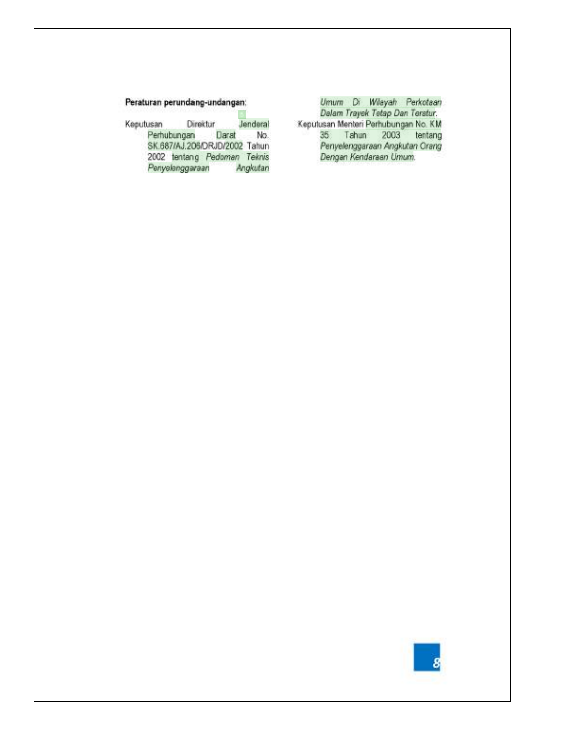# Peraturan perundang-undangan:

Jenderal Direktur Keputusan Perhubungan Darat No. SK.687/AJ.206/ORJD/2002 Tahun 2002 tentang Pedomen Teknis Penyelenggaraan Angkutan Umum Di Wilayah Perkotaan<br>Dalam Trayek Tetap Dan Teratur:<br>Keputusan Menteri Perhubungan No. KM 35 Tahun 2003 tentang<br>Penyelenggaraan Angkutan Orang Dengan Kendaraan Umum.

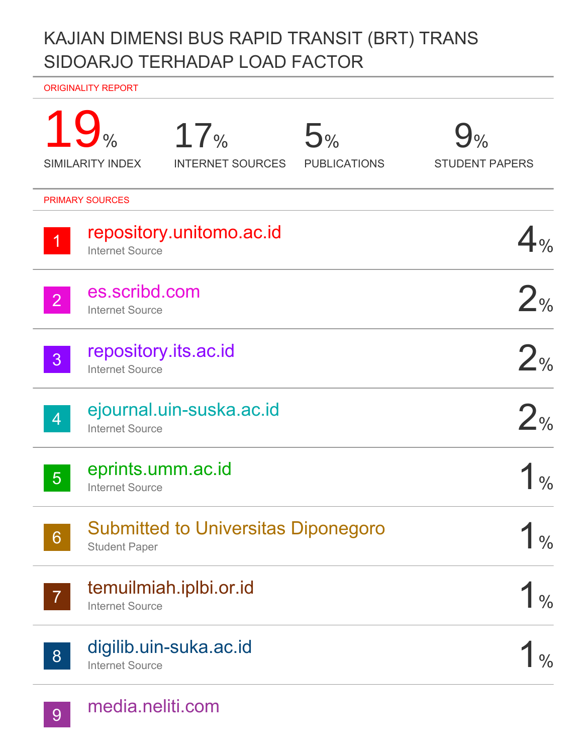# KAJIAN DIMENSI BUS RAPID TRANSIT (BRT) TRANS SIDOARJO TERHADAP LOAD FACTOR

ORIGINALITY REPORT

|                 | 19 <sub>°</sub><br>17%<br>5%<br><b>SIMILARITY INDEX</b><br><b>INTERNET SOURCES</b><br><b>PUBLICATIONS</b> | $\mathcal{H}_{\%}$<br><b>STUDENT PAPERS</b> |
|-----------------|-----------------------------------------------------------------------------------------------------------|---------------------------------------------|
|                 | <b>PRIMARY SOURCES</b>                                                                                    |                                             |
|                 | repository.unitomo.ac.id<br><b>Internet Source</b>                                                        |                                             |
| $\overline{2}$  | es.scribd.com<br><b>Internet Source</b>                                                                   | 2%                                          |
| 3 <sup>1</sup>  | repository.its.ac.id<br><b>Internet Source</b>                                                            | 2%                                          |
| $\overline{4}$  | ejournal.uin-suska.ac.id<br><b>Internet Source</b>                                                        | $2_{\%}$                                    |
| 5 <sup>5</sup>  | eprints.umm.ac.id<br><b>Internet Source</b>                                                               |                                             |
| $6\overline{6}$ | <b>Submitted to Universitas Diponegoro</b><br><b>Student Paper</b>                                        | $\frac{0}{0}$                               |
| $\overline{7}$  | temuilmiah.iplbi.or.id<br><b>Internet Source</b>                                                          | $\frac{0}{0}$                               |
| 8 <sup>°</sup>  | digilib.uin-suka.ac.id<br><b>Internet Source</b>                                                          |                                             |
|                 |                                                                                                           |                                             |

9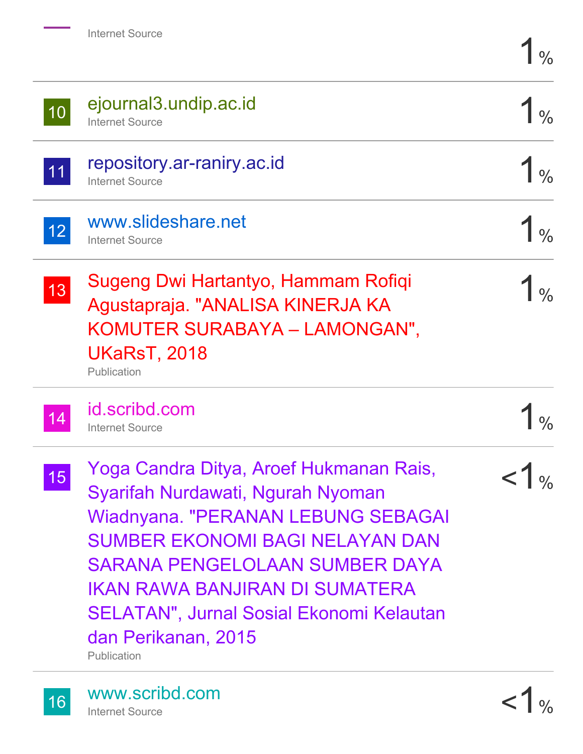| 10 | ejournal3.undip.ac.id<br><b>Internet Source</b>                                                                                                                                                                                                                                                                           |  |
|----|---------------------------------------------------------------------------------------------------------------------------------------------------------------------------------------------------------------------------------------------------------------------------------------------------------------------------|--|
| 11 | repository.ar-raniry.ac.id<br><b>Internet Source</b>                                                                                                                                                                                                                                                                      |  |
| 12 | www.slideshare.net<br><b>Internet Source</b>                                                                                                                                                                                                                                                                              |  |
| 13 | Sugeng Dwi Hartantyo, Hammam Rofiqi<br>Agustapraja. "ANALISA KINERJA KA<br>KOMUTER SURABAYA - LAMONGAN",<br><b>UKaRsT, 2018</b><br>Publication                                                                                                                                                                            |  |
|    | id.scribd.com<br><b>Internet Source</b>                                                                                                                                                                                                                                                                                   |  |
| 15 | Yoga Candra Ditya, Aroef Hukmanan Rais,<br>Syarifah Nurdawati, Ngurah Nyoman<br>Wiadnyana. "PERANAN LEBUNG SEBAGAI<br><b>SUMBER EKONOMI BAGI NELAYAN DAN</b><br>SARANA PENGELOLAAN SUMBER DAYA<br>IKAN RAWA BANJIRAN DI SUMATERA<br><b>SELATAN", Jurnal Sosial Ekonomi Kelautan</b><br>dan Perikanan, 2015<br>Publication |  |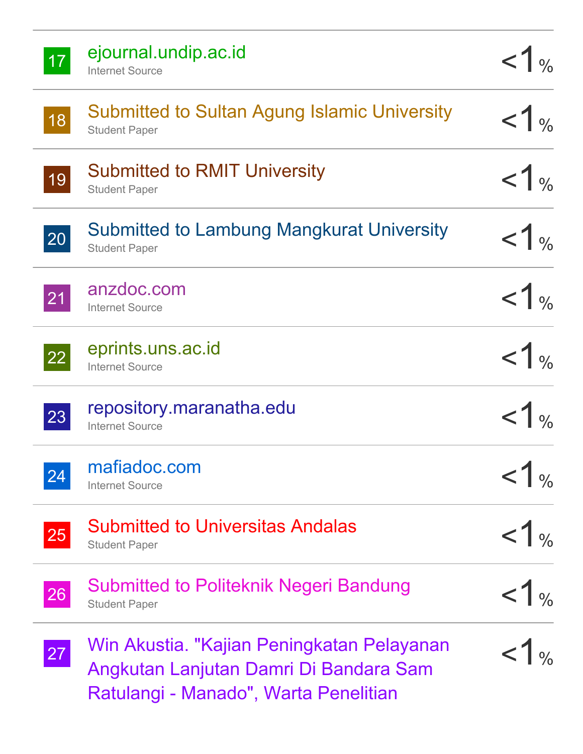| 17 | ejournal.undip.ac.id<br><b>Internet Source</b>                                                                                | $<1$ %           |
|----|-------------------------------------------------------------------------------------------------------------------------------|------------------|
| 18 | <b>Submitted to Sultan Agung Islamic University</b><br><b>Student Paper</b>                                                   | 1 <sub>96</sub>  |
| 19 | <b>Submitted to RMIT University</b><br><b>Student Paper</b>                                                                   | $<1$ %           |
| 20 | <b>Submitted to Lambung Mangkurat University</b><br><b>Student Paper</b>                                                      | < 1 <sub>%</sub> |
| 21 | anzdoc.com<br><b>Internet Source</b>                                                                                          | <1%              |
| 22 | eprints.uns.ac.id<br><b>Internet Source</b>                                                                                   | $<1$ %           |
| 23 | repository.maranatha.edu<br><b>Internet Source</b>                                                                            | 1 <sub>96</sub>  |
| 24 | mafiadoc.com<br><b>Internet Source</b>                                                                                        | < 1 <sub>%</sub> |
| 25 | <b>Submitted to Universitas Andalas</b><br><b>Student Paper</b>                                                               | $<1$ %           |
| 26 | <b>Submitted to Politeknik Negeri Bandung</b><br><b>Student Paper</b>                                                         | <1 <sub>%</sub>  |
| 27 | Win Akustia. "Kajian Peningkatan Pelayanan<br>Angkutan Lanjutan Damri Di Bandara Sam<br>Ratulangi - Manado", Warta Penelitian | $<1$ %           |